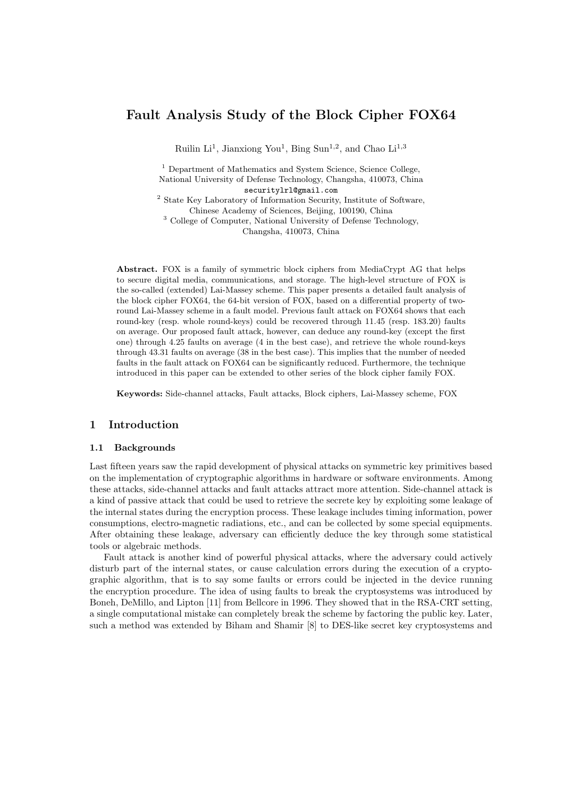# **Fault Analysis Study of the Block Cipher FOX64**

Ruilin Li<sup>1</sup>, Jianxiong You<sup>1</sup>, Bing Sun<sup>1,2</sup>, and Chao Li<sup>1,3</sup>

<sup>1</sup> Department of Mathematics and System Science, Science College, National University of Defense Technology, Changsha, 410073, China securitylrl@gmail.com

<sup>2</sup> State Key Laboratory of Information Security, Institute of Software, Chinese Academy of Sciences, Beijing, 100190, China

<sup>3</sup> College of Computer, National University of Defense Technology, Changsha, 410073, China

**Abstract.** FOX is a family of symmetric block ciphers from MediaCrypt AG that helps to secure digital media, communications, and storage. The high-level structure of FOX is the so-called (extended) Lai-Massey scheme. This paper presents a detailed fault analysis of the block cipher FOX64, the 64-bit version of FOX, based on a differential property of tworound Lai-Massey scheme in a fault model. Previous fault attack on FOX64 shows that each round-key (resp. whole round-keys) could be recovered through 11*.*45 (resp. 183*.*20) faults on average. Our proposed fault attack, however, can deduce any round-key (except the first one) through 4*.*25 faults on average (4 in the best case), and retrieve the whole round-keys through 43*.*31 faults on average (38 in the best case). This implies that the number of needed faults in the fault attack on FOX64 can be significantly reduced. Furthermore, the technique introduced in this paper can be extended to other series of the block cipher family FOX.

**Keywords:** Side-channel attacks, Fault attacks, Block ciphers, Lai-Massey scheme, FOX

## **1 Introduction**

### **1.1 Backgrounds**

Last fifteen years saw the rapid development of physical attacks on symmetric key primitives based on the implementation of cryptographic algorithms in hardware or software environments. Among these attacks, side-channel attacks and fault attacks attract more attention. Side-channel attack is a kind of passive attack that could be used to retrieve the secrete key by exploiting some leakage of the internal states during the encryption process. These leakage includes timing information, power consumptions, electro-magnetic radiations, etc., and can be collected by some special equipments. After obtaining these leakage, adversary can efficiently deduce the key through some statistical tools or algebraic methods.

Fault attack is another kind of powerful physical attacks, where the adversary could actively disturb part of the internal states, or cause calculation errors during the execution of a cryptographic algorithm, that is to say some faults or errors could be injected in the device running the encryption procedure. The idea of using faults to break the cryptosystems was introduced by Boneh, DeMillo, and Lipton [11] from Bellcore in 1996. They showed that in the RSA-CRT setting, a single computational mistake can completely break the scheme by factoring the public key. Later, such a method was extended by Biham and Shamir [8] to DES-like secret key cryptosystems and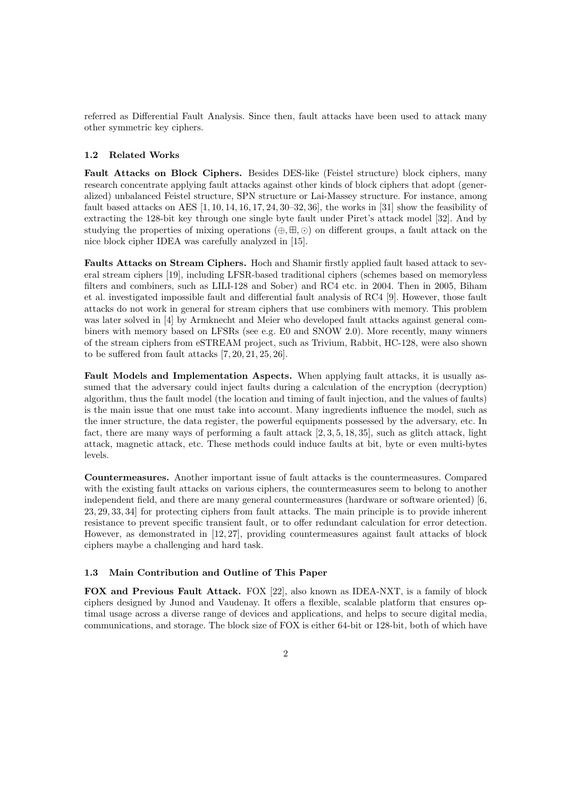referred as Differential Fault Analysis. Since then, fault attacks have been used to attack many other symmetric key ciphers.

### **1.2 Related Works**

**Fault Attacks on Block Ciphers.** Besides DES-like (Feistel structure) block ciphers, many research concentrate applying fault attacks against other kinds of block ciphers that adopt (generalized) unbalanced Feistel structure, SPN structure or Lai-Massey structure. For instance, among fault based attacks on AES  $[1, 10, 14, 16, 17, 24, 30-32, 36]$ , the works in  $[31]$  show the feasibility of extracting the 128-bit key through one single byte fault under Piret's attack model [32]. And by studying the properties of mixing operations  $(\oplus, \boxplus, \odot)$  on different groups, a fault attack on the nice block cipher IDEA was carefully analyzed in [15].

**Faults Attacks on Stream Ciphers.** Hoch and Shamir firstly applied fault based attack to several stream ciphers [19], including LFSR-based traditional ciphers (schemes based on memoryless filters and combiners, such as LILI-128 and Sober) and RC4 etc. in 2004. Then in 2005, Biham et al. investigated impossible fault and differential fault analysis of RC4 [9]. However, those fault attacks do not work in general for stream ciphers that use combiners with memory. This problem was later solved in [4] by Armknecht and Meier who developed fault attacks against general combiners with memory based on LFSRs (see e.g. E0 and SNOW 2.0). More recently, many winners of the stream ciphers from eSTREAM project, such as Trivium, Rabbit, HC-128, were also shown to be suffered from fault attacks [7, 20, 21, 25, 26].

**Fault Models and Implementation Aspects.** When applying fault attacks, it is usually assumed that the adversary could inject faults during a calculation of the encryption (decryption) algorithm, thus the fault model (the location and timing of fault injection, and the values of faults) is the main issue that one must take into account. Many ingredients influence the model, such as the inner structure, the data register, the powerful equipments possessed by the adversary, etc. In fact, there are many ways of performing a fault attack [2, 3, 5, 18, 35], such as glitch attack, light attack, magnetic attack, etc. These methods could induce faults at bit, byte or even multi-bytes levels.

**Countermeasures.** Another important issue of fault attacks is the countermeasures. Compared with the existing fault attacks on various ciphers, the countermeasures seem to belong to another independent field, and there are many general countermeasures (hardware or software oriented) [6, 23, 29, 33, 34] for protecting ciphers from fault attacks. The main principle is to provide inherent resistance to prevent specific transient fault, or to offer redundant calculation for error detection. However, as demonstrated in [12, 27], providing countermeasures against fault attacks of block ciphers maybe a challenging and hard task.

### **1.3 Main Contribution and Outline of This Paper**

**FOX and Previous Fault Attack.** FOX [22], also known as IDEA-NXT, is a family of block ciphers designed by Junod and Vaudenay. It offers a flexible, scalable platform that ensures optimal usage across a diverse range of devices and applications, and helps to secure digital media, communications, and storage. The block size of FOX is either 64-bit or 128-bit, both of which have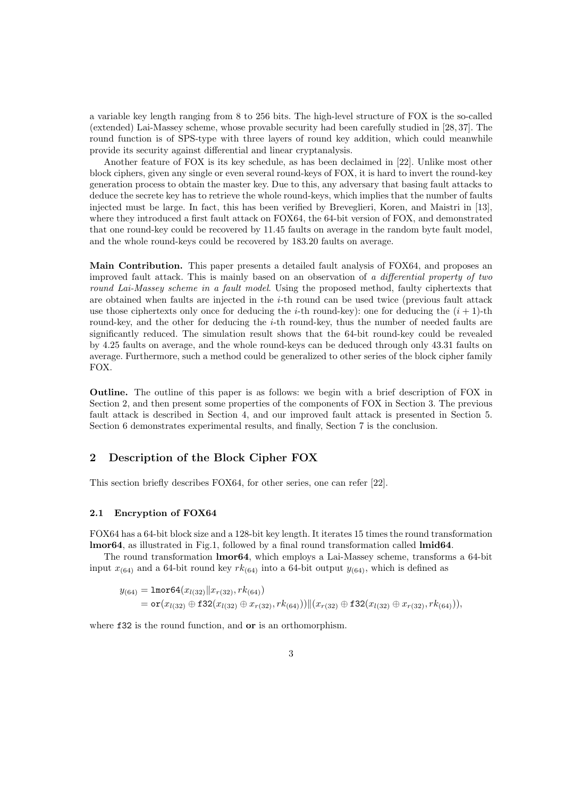a variable key length ranging from 8 to 256 bits. The high-level structure of FOX is the so-called (extended) Lai-Massey scheme, whose provable security had been carefully studied in [28, 37]. The round function is of SPS-type with three layers of round key addition, which could meanwhile provide its security against differential and linear cryptanalysis.

Another feature of FOX is its key schedule, as has been declaimed in [22]. Unlike most other block ciphers, given any single or even several round-keys of FOX, it is hard to invert the round-key generation process to obtain the master key. Due to this, any adversary that basing fault attacks to deduce the secrete key has to retrieve the whole round-keys, which implies that the number of faults injected must be large. In fact, this has been verified by Breveglieri, Koren, and Maistri in [13], where they introduced a first fault attack on FOX64, the 64-bit version of FOX, and demonstrated that one round-key could be recovered by 11*.*45 faults on average in the random byte fault model, and the whole round-keys could be recovered by 183*.*20 faults on average.

**Main Contribution.** This paper presents a detailed fault analysis of FOX64, and proposes an improved fault attack. This is mainly based on an observation of *a differential property of two round Lai-Massey scheme in a fault model*. Using the proposed method, faulty ciphertexts that are obtained when faults are injected in the *i*-th round can be used twice (previous fault attack use those ciphertexts only once for deducing the *i*-th round-key): one for deducing the  $(i + 1)$ -th round-key, and the other for deducing the *i*-th round-key, thus the number of needed faults are significantly reduced. The simulation result shows that the 64-bit round-key could be revealed by 4*.*25 faults on average, and the whole round-keys can be deduced through only 43*.*31 faults on average. Furthermore, such a method could be generalized to other series of the block cipher family FOX.

**Outline.** The outline of this paper is as follows: we begin with a brief description of FOX in Section 2, and then present some properties of the components of FOX in Section 3. The previous fault attack is described in Section 4, and our improved fault attack is presented in Section 5. Section 6 demonstrates experimental results, and finally, Section 7 is the conclusion.

## **2 Description of the Block Cipher FOX**

This section briefly describes FOX64, for other series, one can refer [22].

### **2.1 Encryption of FOX64**

FOX64 has a 64-bit block size and a 128-bit key length. It iterates 15 times the round transformation **lmor64**, as illustrated in Fig.1, followed by a final round transformation called **lmid64**.

The round transformation **lmor64**, which employs a Lai-Massey scheme, transforms a 64-bit input  $x_{(64)}$  and a 64-bit round key  $rk_{(64)}$  into a 64-bit output  $y_{(64)}$ , which is defined as

$$
y_{(64)} = \text{lmor}64(x_{l(32)} \| x_{r(32)}, r k_{(64)})
$$
  
=  $\text{or}(x_{l(32)} \oplus \text{f}32(x_{l(32)} \oplus x_{r(32)}, r k_{(64)})) \| (x_{r(32)} \oplus \text{f}32(x_{l(32)} \oplus x_{r(32)}, r k_{(64)})),$ 

where f32 is the round function, and **or** is an orthomorphism.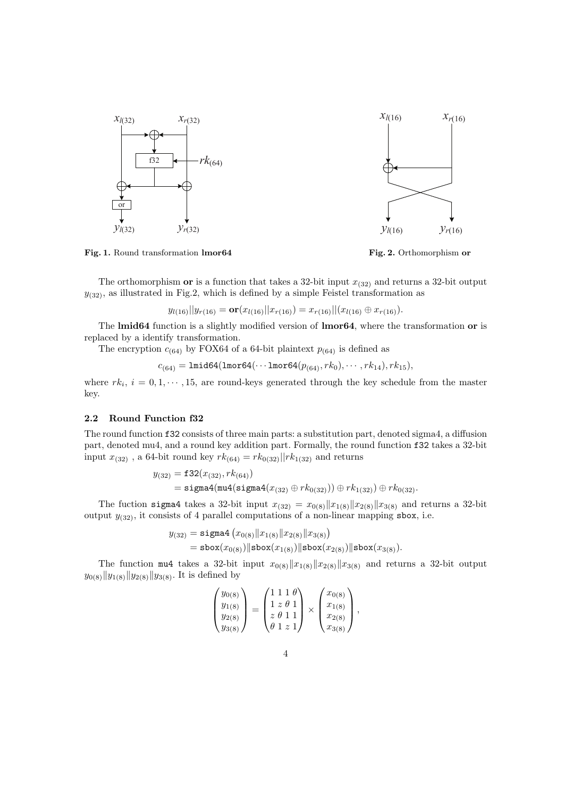

**Fig. 1.** Round transformation **lmor64**



The orthomorphism **or** is a function that takes a 32-bit input  $x_{(32)}$  and returns a 32-bit output  $y_{(32)}$ , as illustrated in Fig.2, which is defined by a simple Feistel transformation as

$$
y_{l(16)}||y_{r(16)} = \mathbf{or}(x_{l(16)}||x_{r(16)}) = x_{r(16)}||(x_{l(16)} \oplus x_{r(16)}).
$$

The **lmid64** function is a slightly modified version of **lmor64**, where the transformation **or** is replaced by a identify transformation.

The encryption  $c_{(64)}$  by FOX64 of a 64-bit plaintext  $p_{(64)}$  is defined as

$$
c_{(64)} = \text{Imid64}(\text{Imor64}(\cdots \text{Imor64}(p_{(64)}, \text{rk}_0), \cdots, \text{rk}_{14}), \text{rk}_{15}),
$$

where  $rk_i$ ,  $i = 0, 1, \dots, 15$ , are round-keys generated through the key schedule from the master key.

#### **2.2 Round Function f32**

The round function f32 consists of three main parts: a substitution part, denoted sigma4, a diffusion part, denoted mu4, and a round key addition part. Formally, the round function f32 takes a 32-bit input  $x_{(32)}$ , a 64-bit round key  $rk_{(64)} = rk_{0(32)}||rk_{1(32)}$  and returns

$$
y_{(32)} = \mathbf{f}32(x_{(32)}, \, rk_{(64)})
$$
  
= 
$$
\mathbf{sigma}4(\text{mul}(\text{sigma}4(x_{(32)} \oplus rk_{0(32)})) \oplus rk_{1(32)}) \oplus rk_{0(32)}.
$$

The fuction sigma4 takes a 32-bit input  $x_{(32)} = x_{0(8)} ||x_{1(8)} ||x_{2(8)} ||x_{3(8)}$  and returns a 32-bit output  $y_{(32)}$ , it consists of 4 parallel computations of a non-linear mapping sbox, i.e.

$$
y_{(32)} = \text{sigma4} (x_{0(8)} \| x_{1(8)} \| x_{2(8)} \| x_{3(8)} )
$$
  
=  $\text{sbox}(x_{0(8)}) \| \text{sbox}(x_{1(8)}) \| \text{sbox}(x_{2(8)}) \| \text{sbox}(x_{3(8)}).$ 

The function mu4 takes a 32-bit input  $x_{0(8)}||x_{1(8)}||x_{2(8)}||x_{3(8)}$  and returns a 32-bit output *y*<sub>0(8)</sub> $||y_{1(8)}||y_{2(8)}||y_{3(8)}$ . It is defined by

$$
\begin{pmatrix} y_{0(8)} \\ y_{1(8)} \\ y_{2(8)} \\ y_{3(8)} \end{pmatrix} = \begin{pmatrix} 1 & 1 & 1 & \theta \\ 1 & z & \theta & 1 \\ z & \theta & 1 & 1 \\ \theta & 1 & z & 1 \end{pmatrix} \times \begin{pmatrix} x_{0(8)} \\ x_{1(8)} \\ x_{2(8)} \\ x_{3(8)} \end{pmatrix},
$$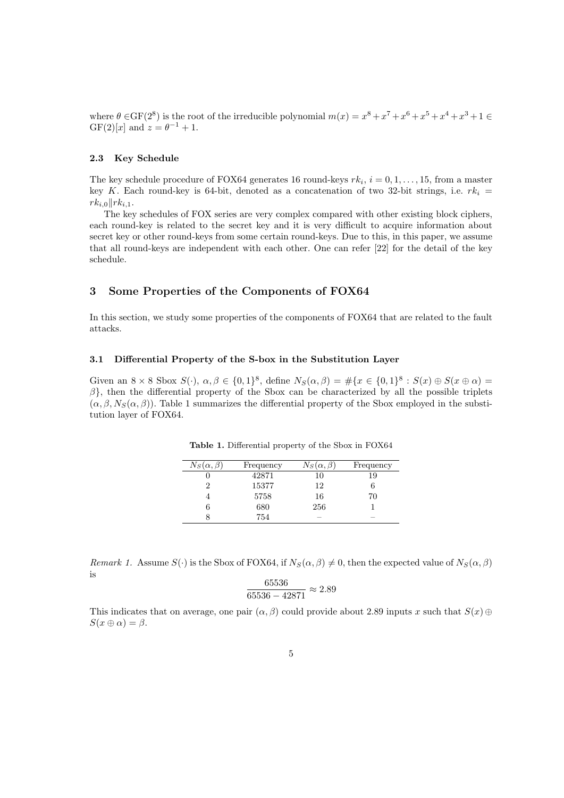where  $\theta \in \text{GF}(2^8)$  is the root of the irreducible polynomial  $m(x) = x^8 + x^7 + x^6 + x^5 + x^4 + x^3 + 1 \in$ GF(2)[*x*] and  $z = \theta^{-1} + 1$ .

#### **2.3 Key Schedule**

The key schedule procedure of FOX64 generates 16 round-keys  $rk_i$ ,  $i = 0, 1, \ldots, 15$ , from a master key *K*. Each round-key is 64-bit, denoted as a concatenation of two 32-bit strings, i.e.  $rk_i =$ *rk*<sup>*i*</sup>.0*∥rk*<sup>*i*</sup>.1.

The key schedules of FOX series are very complex compared with other existing block ciphers, each round-key is related to the secret key and it is very difficult to acquire information about secret key or other round-keys from some certain round-keys. Due to this, in this paper, we assume that all round-keys are independent with each other. One can refer [22] for the detail of the key schedule.

### **3 Some Properties of the Components of FOX64**

In this section, we study some properties of the components of FOX64 that are related to the fault attacks.

## **3.1 Differential Property of the S-box in the Substitution Layer**

Given an  $8 \times 8$  Sbox  $S(\cdot)$ ,  $\alpha, \beta \in \{0,1\}^8$ , define  $N_S(\alpha, \beta) = \#\{x \in \{0,1\}^8 : S(x) \oplus S(x \oplus \alpha) =$ *β}*, then the differential property of the Sbox can be characterized by all the possible triplets  $(\alpha, \beta, N_S(\alpha, \beta))$ . Table 1 summarizes the differential property of the Sbox employed in the substitution layer of FOX64.

| $N_S(\alpha, \beta)$ | Frequency | $N_S(\alpha, \beta)$ | Frequency |
|----------------------|-----------|----------------------|-----------|
|                      | 42871     |                      | 19        |
|                      | 15377     | 12                   |           |
|                      | 5758      | 16                   | 70        |
|                      | 680       | 256                  |           |
|                      | 754       |                      |           |

**Table 1.** Differential property of the Sbox in FOX64

*Remark 1.* Assume  $S(\cdot)$  is the Sbox of FOX64, if  $N_S(\alpha, \beta) \neq 0$ , then the expected value of  $N_S(\alpha, \beta)$ is 65536

$$
\frac{65536}{65536 - 42871} \approx 2.89
$$

This indicates that on average, one pair  $(\alpha, \beta)$  could provide about 2.89 inputs *x* such that  $S(x) \oplus$  $S(x \oplus \alpha) = \beta$ .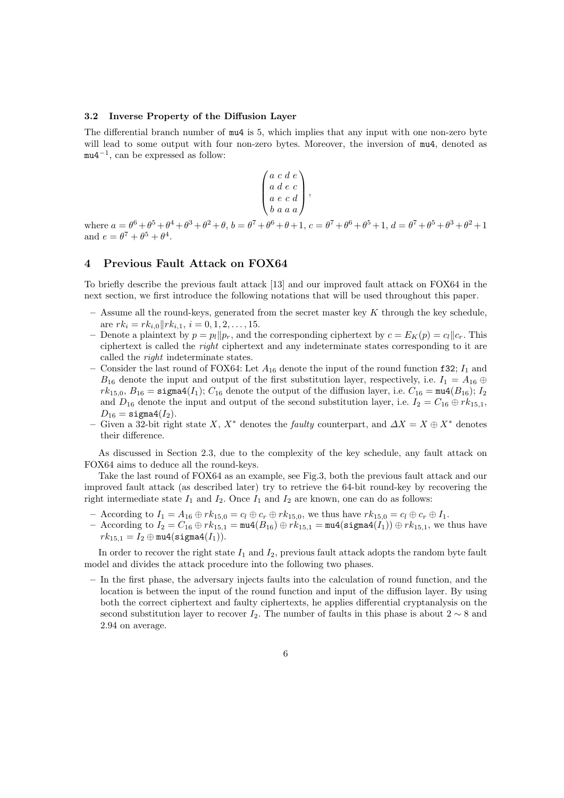#### **3.2 Inverse Property of the Diffusion Layer**

The differential branch number of mu4 is 5, which implies that any input with one non-zero byte will lead to some output with four non-zero bytes. Moreover, the inversion of  $mu4$ , denoted as mu4*−*<sup>1</sup> , can be expressed as follow:

$$
\begin{pmatrix} a & c & d & e \\ a & d & e & c \\ a & e & c & d \\ b & a & a & a \end{pmatrix},
$$

where  $a = \theta^6 + \theta^5 + \theta^4 + \theta^3 + \theta^2 + \theta$ ,  $b = \theta^7 + \theta^6 + \theta + 1$ ,  $c = \theta^7 + \theta^6 + \theta^5 + 1$ ,  $d = \theta^7 + \theta^5 + \theta^3 + \theta^2 + 1$ and  $e = \theta^7 + \theta^5 + \theta^4$ .

## **4 Previous Fault Attack on FOX64**

To briefly describe the previous fault attack [13] and our improved fault attack on FOX64 in the next section, we first introduce the following notations that will be used throughout this paper.

- **–** Assume all the round-keys, generated from the secret master key *K* through the key schedule, are  $rk_i = rk_{i,0}||rk_{i,1}, i = 0, 1, 2, \ldots, 15$ .
- **–** Denote a plaintext by *p* = *pl∥pr*, and the corresponding ciphertext by *c* = *EK*(*p*) = *cl∥cr*. This ciphertext is called the *right* ciphertext and any indeterminate states corresponding to it are called the *right* indeterminate states.
- Consider the last round of FOX64: Let  $A_{16}$  denote the input of the round function f32;  $I_1$  and *B*<sub>16</sub> denote the input and output of the first substitution layer, respectively, i.e.  $I_1 = A_{16} \oplus$  $rk_{15,0}, B_{16} = \text{sigma4}(I_1); C_{16}$  denote the output of the diffusion layer, i.e.  $C_{16} = \text{mu4}(B_{16}); I_2$ and  $D_{16}$  denote the input and output of the second substitution layer, i.e.  $I_2 = C_{16} \oplus r k_{15,1}$ ,  $D_{16} = \text{sigma4}(I_2).$
- **–** Given a 32-bit right state *X*, *X<sup>∗</sup>* denotes the *faulty* counterpart, and *∆X* = *X ⊕ X<sup>∗</sup>* denotes their difference.

As discussed in Section 2.3, due to the complexity of the key schedule, any fault attack on FOX64 aims to deduce all the round-keys.

Take the last round of FOX64 as an example, see Fig.3, both the previous fault attack and our improved fault attack (as described later) try to retrieve the 64-bit round-key by recovering the right intermediate state  $I_1$  and  $I_2$ . Once  $I_1$  and  $I_2$  are known, one can do as follows:

- $-$  According to  $I_1 = A_{16} \oplus r k_{15,0} = c_l \oplus c_r \oplus r k_{15,0}$ , we thus have  $r k_{15,0} = c_l \oplus c_r \oplus I_1$ .
- $P_1 = \text{According to } I_2 = C_{16} \oplus rk_{15,1} = \text{mul}(B_{16}) \oplus rk_{15,1} = \text{mul}(\text{sigma}(I_1)) \oplus rk_{15,1},$  we thus have  $rk_{15,1} = I_2 \oplus \text{mu4}(\text{sigma4}(I_1)).$

In order to recover the right state *I*<sup>1</sup> and *I*2, previous fault attack adopts the random byte fault model and divides the attack procedure into the following two phases.

**–** In the first phase, the adversary injects faults into the calculation of round function, and the location is between the input of the round function and input of the diffusion layer. By using both the correct ciphertext and faulty ciphertexts, he applies differential cryptanalysis on the second substitution layer to recover  $I_2$ . The number of faults in this phase is about  $2 \sim 8$  and 2*.*94 on average.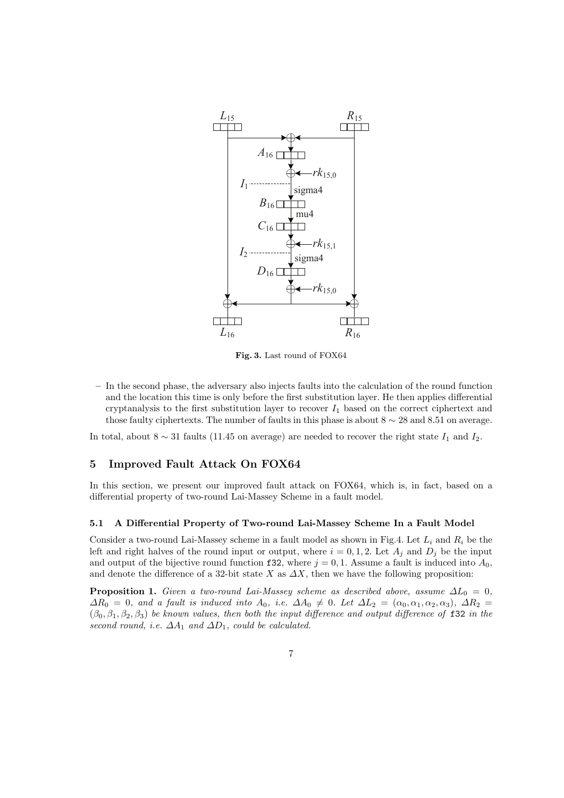

**Fig. 3.** Last round of FOX64

**–** In the second phase, the adversary also injects faults into the calculation of the round function and the location this time is only before the first substitution layer. He then applies differential cryptanalysis to the first substitution layer to recover  $I_1$  based on the correct ciphertext and those faulty ciphertexts. The number of faults in this phase is about 8 *∼* 28 and 8*.*51 on average.

In total, about  $8 \sim 31$  faults (11.45 on average) are needed to recover the right state  $I_1$  and  $I_2$ .

## **5 Improved Fault Attack On FOX64**

In this section, we present our improved fault attack on FOX64, which is, in fact, based on a differential property of two-round Lai-Massey Scheme in a fault model.

#### **5.1 A Differential Property of Two-round Lai-Massey Scheme In a Fault Model**

Consider a two-round Lai-Massey scheme in a fault model as shown in Fig.4. Let *L<sup>i</sup>* and *R<sup>i</sup>* be the left and right halves of the round input or output, where  $i = 0, 1, 2$ . Let  $A_j$  and  $D_j$  be the input and output of the bijective round function f32, where  $j = 0, 1$ . Assume a fault is induced into  $A_0$ , and denote the difference of a 32-bit state *X* as  $\Delta X$ , then we have the following proposition:

**Proposition 1.** *Given a two-round Lai-Massey scheme as described above, assume*  $\Delta L_0 = 0$ ,  $ΔR_0 = 0$ *, and a fault is induced into*  $A_0$ *, i.e.*  $ΔA_0 ≠ 0$ *. Let*  $ΔL_2 = (α_0, α_1, α_2, α_3)$ *,*  $ΔR_2 =$ (*β*0*, β*1*, β*2*, β*3) *be known values, then both the input difference and output difference of* f32 *in the second round, i.e.*  $\Delta A_1$  *and*  $\Delta D_1$ *, could be calculated.*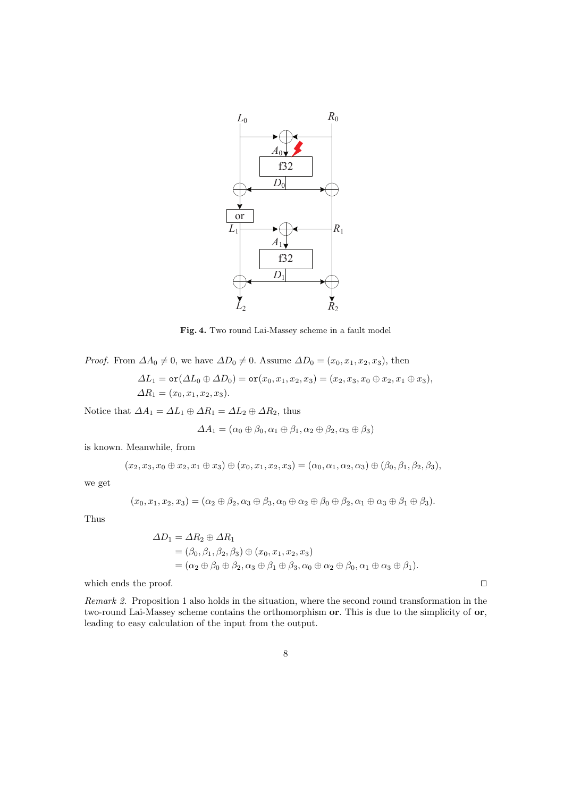

**Fig. 4.** Two round Lai-Massey scheme in a fault model

*Proof.* From  $\Delta A_0 \neq 0$ , we have  $\Delta D_0 \neq 0$ . Assume  $\Delta D_0 = (x_0, x_1, x_2, x_3)$ , then

$$
\Delta L_1 = \text{or}(\Delta L_0 \oplus \Delta D_0) = \text{or}(x_0, x_1, x_2, x_3) = (x_2, x_3, x_0 \oplus x_2, x_1 \oplus x_3), \Delta R_1 = (x_0, x_1, x_2, x_3).
$$

Notice that  $\Delta A_1 = \Delta L_1 \oplus \Delta R_1 = \Delta L_2 \oplus \Delta R_2$ , thus

$$
\varDelta A_1 = (\alpha_0 \oplus \beta_0, \alpha_1 \oplus \beta_1, \alpha_2 \oplus \beta_2, \alpha_3 \oplus \beta_3)
$$

is known. Meanwhile, from

$$
(x_2, x_3, x_0 \oplus x_2, x_1 \oplus x_3) \oplus (x_0, x_1, x_2, x_3) = (\alpha_0, \alpha_1, \alpha_2, \alpha_3) \oplus (\beta_0, \beta_1, \beta_2, \beta_3),
$$

we get

$$
(x_0, x_1, x_2, x_3) = (\alpha_2 \oplus \beta_2, \alpha_3 \oplus \beta_3, \alpha_0 \oplus \alpha_2 \oplus \beta_0 \oplus \beta_2, \alpha_1 \oplus \alpha_3 \oplus \beta_1 \oplus \beta_3).
$$

Thus

$$
\Delta D_1 = \Delta R_2 \oplus \Delta R_1
$$
  
=  $(\beta_0, \beta_1, \beta_2, \beta_3) \oplus (x_0, x_1, x_2, x_3)$   
=  $(\alpha_2 \oplus \beta_0 \oplus \beta_2, \alpha_3 \oplus \beta_1 \oplus \beta_3, \alpha_0 \oplus \alpha_2 \oplus \beta_0, \alpha_1 \oplus \alpha_3 \oplus \beta_1).$ 

which ends the proof. *⊓⊔*

*Remark 2.* Proposition 1 also holds in the situation, where the second round transformation in the two-round Lai-Massey scheme contains the orthomorphism **or**. This is due to the simplicity of **or**, leading to easy calculation of the input from the output.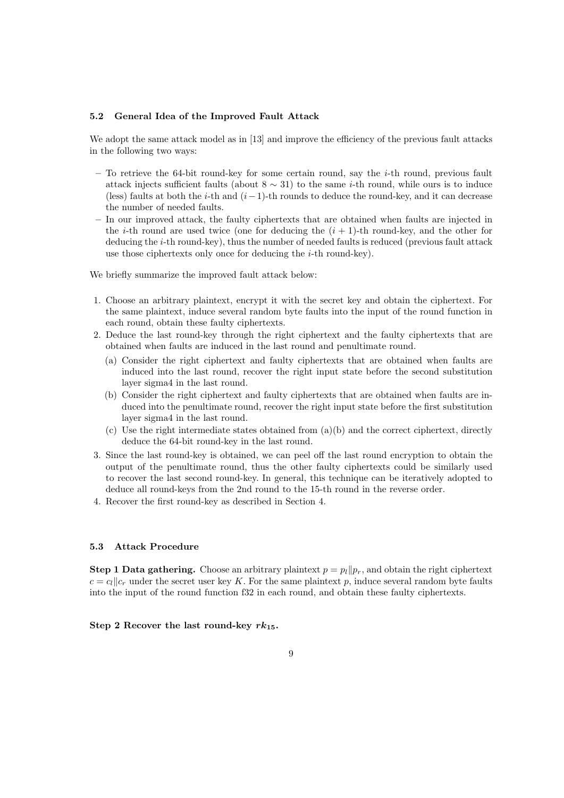#### **5.2 General Idea of the Improved Fault Attack**

We adopt the same attack model as in [13] and improve the efficiency of the previous fault attacks in the following two ways:

- **–** To retrieve the 64-bit round-key for some certain round, say the *i*-th round, previous fault attack injects sufficient faults (about 8 *∼* 31) to the same *i*-th round, while ours is to induce (less) faults at both the *i*-th and (*i−*1)-th rounds to deduce the round-key, and it can decrease the number of needed faults.
- **–** In our improved attack, the faulty ciphertexts that are obtained when faults are injected in the *i*-th round are used twice (one for deducing the  $(i + 1)$ -th round-key, and the other for deducing the *i*-th round-key), thus the number of needed faults is reduced (previous fault attack use those ciphertexts only once for deducing the *i*-th round-key).

We briefly summarize the improved fault attack below:

- 1. Choose an arbitrary plaintext, encrypt it with the secret key and obtain the ciphertext. For the same plaintext, induce several random byte faults into the input of the round function in each round, obtain these faulty ciphertexts.
- 2. Deduce the last round-key through the right ciphertext and the faulty ciphertexts that are obtained when faults are induced in the last round and penultimate round.
	- (a) Consider the right ciphertext and faulty ciphertexts that are obtained when faults are induced into the last round, recover the right input state before the second substitution layer sigma4 in the last round.
	- (b) Consider the right ciphertext and faulty ciphertexts that are obtained when faults are induced into the penultimate round, recover the right input state before the first substitution layer sigma4 in the last round.
	- (c) Use the right intermediate states obtained from  $(a)(b)$  and the correct ciphertext, directly deduce the 64-bit round-key in the last round.
- 3. Since the last round-key is obtained, we can peel off the last round encryption to obtain the output of the penultimate round, thus the other faulty ciphertexts could be similarly used to recover the last second round-key. In general, this technique can be iteratively adopted to deduce all round-keys from the 2nd round to the 15-th round in the reverse order.
- 4. Recover the first round-key as described in Section 4.

### **5.3 Attack Procedure**

**Step 1 Data gathering.** Choose an arbitrary plaintext  $p = p_l || p_r$ , and obtain the right ciphertext  $c = c_l || c_r$  under the secret user key *K*. For the same plaintext *p*, induce several random byte faults into the input of the round function f32 in each round, and obtain these faulty ciphertexts.

#### **Step 2 Recover the last round-key**  $rk_{15}$ **.**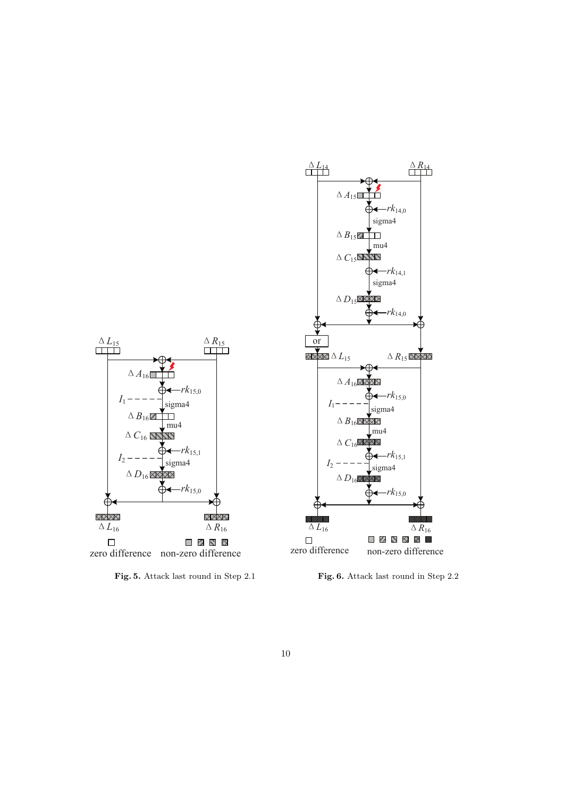

**Fig. 6.** Attack last round in Step 2.2



**Fig. 5.** Attack last round in Step 2.1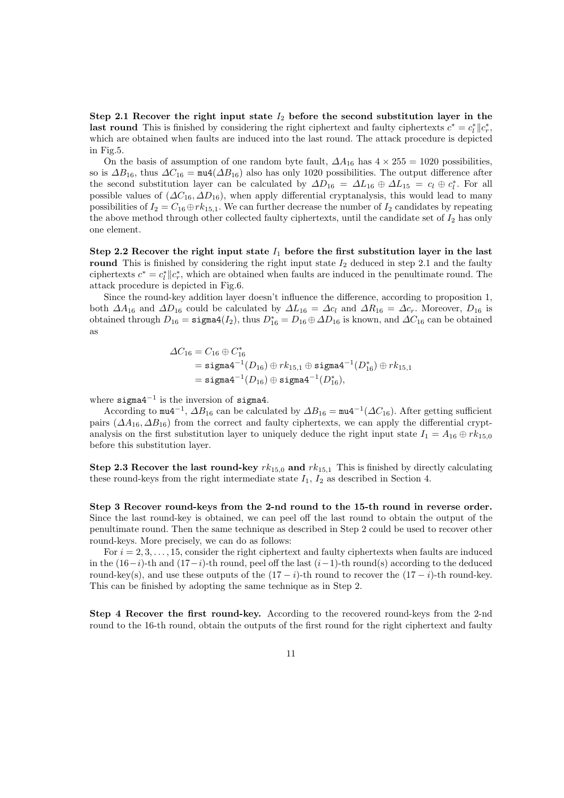**Step 2.1 Recover the right input state** *I*<sup>2</sup> **before the second substitution layer in the last round** This is finished by considering the right ciphertext and faulty ciphertexts  $c^* = c_l^* || c_r^*$ , which are obtained when faults are induced into the last round. The attack procedure is depicted in Fig.5.

On the basis of assumption of one random byte fault,  $\Delta A_{16}$  has  $4 \times 255 = 1020$  possibilities, so is  $\Delta B_{16}$ , thus  $\Delta C_{16} = \text{mu}4(\Delta B_{16})$  also has only 1020 possibilities. The output difference after the second substitution layer can be calculated by  $\Delta D_{16} = \Delta L_{16} \oplus \Delta L_{15} = c_l \oplus c_l^*$ . For all possible values of (*∆C*16*, ∆D*16), when apply differential cryptanalysis, this would lead to many possibilities of  $I_2 = C_{16} \oplus r k_{15,1}$ . We can further decrease the number of  $I_2$  candidates by repeating the above method through other collected faulty ciphertexts, until the candidate set of *I*<sup>2</sup> has only one element.

**Step 2.2 Recover the right input state** *I*<sup>1</sup> **before the first substitution layer in the last** round This is finished by considering the right input state  $I_2$  deduced in step 2.1 and the faulty ciphertexts  $c^* = c_l^* || c_r^*$ , which are obtained when faults are induced in the penultimate round. The attack procedure is depicted in Fig.6.

Since the round-key addition layer doesn't influence the difference, according to proposition 1, both  $\Delta A_{16}$  and  $\Delta D_{16}$  could be calculated by  $\Delta L_{16} = \Delta c_l$  and  $\Delta R_{16} = \Delta c_r$ . Moreover,  $D_{16}$  is obtained through  $D_{16} = \texttt{sigma4}(I_2)$ , thus  $D_{16}^* = D_{16} \oplus \Delta D_{16}$  is known, and  $\Delta C_{16}$  can be obtained as

$$
\begin{aligned} \Delta C_{16} &= C_{16} \oplus C_{16}^* \\ &= \texttt{sigma4}^{-1}(D_{16}) \oplus rk_{15,1} \oplus \texttt{sigma4}^{-1}(D_{16}^*) \oplus rk_{15,1} \\ &= \texttt{sigma4}^{-1}(D_{16}) \oplus \texttt{sigma4}^{-1}(D_{16}^*), \end{aligned}
$$

where sigma4*−*<sup>1</sup> is the inversion of sigma4.

According to  $\text{mu}4^{-1}$ ,  $\Delta B_{16}$  can be calculated by  $\Delta B_{16} = \text{mu}4^{-1}(\Delta C_{16})$ . After getting sufficient pairs ( $\Delta A_{16}$ ,  $\Delta B_{16}$ ) from the correct and faulty ciphertexts, we can apply the differential cryptanalysis on the first substitution layer to uniquely deduce the right input state  $I_1 = A_{16} \oplus rk_{15,0}$ before this substitution layer.

**Step 2.3 Recover the last round-key**  $rk_{15,0}$  and  $rk_{15,1}$  This is finished by directly calculating these round-keys from the right intermediate state  $I_1$ ,  $I_2$  as described in Section 4.

**Step 3 Recover round-keys from the 2-nd round to the 15-th round in reverse order.** Since the last round-key is obtained, we can peel off the last round to obtain the output of the penultimate round. Then the same technique as described in Step 2 could be used to recover other round-keys. More precisely, we can do as follows:

For  $i = 2, 3, \ldots, 15$ , consider the right ciphertext and faulty ciphertexts when faults are induced in the (16*−i*)-th and (17*−i*)-th round, peel off the last (*i−*1)-th round(s) according to the deduced round-key(s), and use these outputs of the  $(17 - i)$ -th round to recover the  $(17 - i)$ -th round-key. This can be finished by adopting the same technique as in Step 2.

**Step 4 Recover the first round-key.** According to the recovered round-keys from the 2-nd round to the 16-th round, obtain the outputs of the first round for the right ciphertext and faulty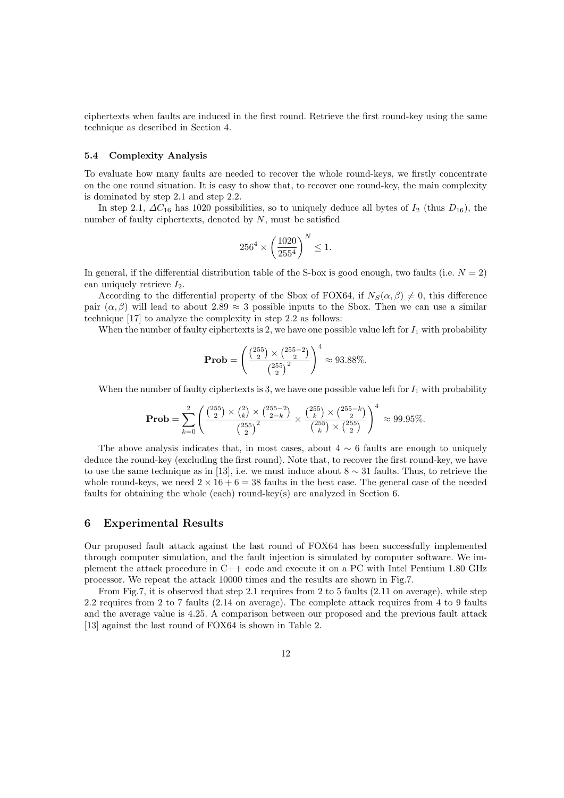ciphertexts when faults are induced in the first round. Retrieve the first round-key using the same technique as described in Section 4.

### **5.4 Complexity Analysis**

To evaluate how many faults are needed to recover the whole round-keys, we firstly concentrate on the one round situation. It is easy to show that, to recover one round-key, the main complexity is dominated by step 2.1 and step 2.2.

In step 2.1, *∆C*<sup>16</sup> has 1020 possibilities, so to uniquely deduce all bytes of *I*<sup>2</sup> (thus *D*16), the number of faulty ciphertexts, denoted by *N*, must be satisfied

$$
256^4 \times \left(\frac{1020}{255^4}\right)^N \le 1.
$$

In general, if the differential distribution table of the S-box is good enough, two faults (i.e.  $N = 2$ ) can uniquely retrieve  $I_2$ .

According to the differential property of the Sbox of FOX64, if  $N_S(\alpha, \beta) \neq 0$ , this difference pair  $(\alpha, \beta)$  will lead to about 2.89  $\approx$  3 possible inputs to the Sbox. Then we can use a similar technique [17] to analyze the complexity in step 2.2 as follows:

When the number of faulty ciphertexts is 2, we have one possible value left for  $I_1$  with probability

**Prob** = 
$$
\left(\frac{\binom{255}{2} \times \binom{255-2}{2}}{\binom{255}{2}^2}\right)^4 \approx 93.88\%.
$$

When the number of faulty ciphertexts is 3, we have one possible value left for  $I_1$  with probability

$$
\mathbf{Prob} = \sum_{k=0}^{2} \left( \frac{\binom{255}{2} \times \binom{2}{k} \times \binom{255-2}{2-k}}{\binom{255}{2}^2} \times \frac{\binom{255}{k} \times \binom{255-k}{2}}{\binom{255}{k} \times \binom{255}{2}} \right)^4 \approx 99.95\%.
$$

The above analysis indicates that, in most cases, about  $4 \sim 6$  faults are enough to uniquely deduce the round-key (excluding the first round). Note that, to recover the first round-key, we have to use the same technique as in [13], i.e. we must induce about 8 *∼* 31 faults. Thus, to retrieve the whole round-keys, we need  $2 \times 16 + 6 = 38$  faults in the best case. The general case of the needed faults for obtaining the whole (each) round-key(s) are analyzed in Section 6.

## **6 Experimental Results**

Our proposed fault attack against the last round of FOX64 has been successfully implemented through computer simulation, and the fault injection is simulated by computer software. We implement the attack procedure in C++ code and execute it on a PC with Intel Pentium 1.80 GHz processor. We repeat the attack 10000 times and the results are shown in Fig.7.

From Fig.7, it is observed that step 2.1 requires from 2 to 5 faults (2.11 on average), while step 2.2 requires from 2 to 7 faults (2.14 on average). The complete attack requires from 4 to 9 faults and the average value is 4.25. A comparison between our proposed and the previous fault attack [13] against the last round of FOX64 is shown in Table 2.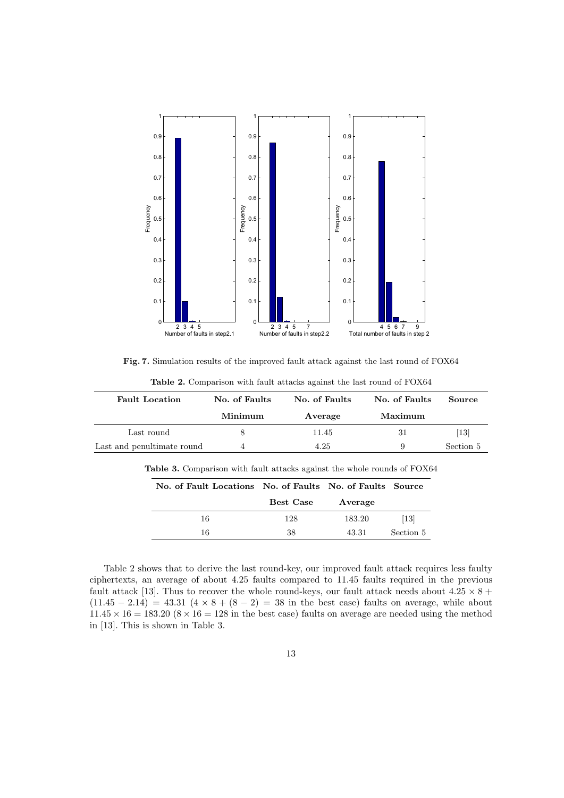

**Fig. 7.** Simulation results of the improved fault attack against the last round of FOX64

| <b>Fault Location</b>      | No. of Faults | No. of Faults | No. of Faults | Source    |
|----------------------------|---------------|---------------|---------------|-----------|
|                            | Minimum       | Average       | Maximum       |           |
| Last round                 |               | 11.45         | -31           | [13]      |
| Last and penultimate round | 4             | 4.25          |               | Section 5 |

**Table 2.** Comparison with fault attacks against the last round of FOX64

| Table 3. Comparison with fault attacks against the whole rounds of FOX64 |  |  |  |  |  |
|--------------------------------------------------------------------------|--|--|--|--|--|
|--------------------------------------------------------------------------|--|--|--|--|--|

| No. of Fault Locations No. of Faults No. of Faults Source |           |         |           |
|-----------------------------------------------------------|-----------|---------|-----------|
|                                                           | Best Case | Average |           |
| 16                                                        | 128       | 183.20  | [13]      |
| 16                                                        | 38        | 43.31   | Section 5 |

Table 2 shows that to derive the last round-key, our improved fault attack requires less faulty ciphertexts, an average of about 4.25 faults compared to 11.45 faults required in the previous fault attack [13]. Thus to recover the whole round-keys, our fault attack needs about  $4.25 \times 8 +$  $(11.45 - 2.14) = 43.31 (4 \times 8 + (8 - 2) = 38$  in the best case) faults on average, while about  $11.45 \times 16 = 183.20$  ( $8 \times 16 = 128$  in the best case) faults on average are needed using the method in [13]. This is shown in Table 3.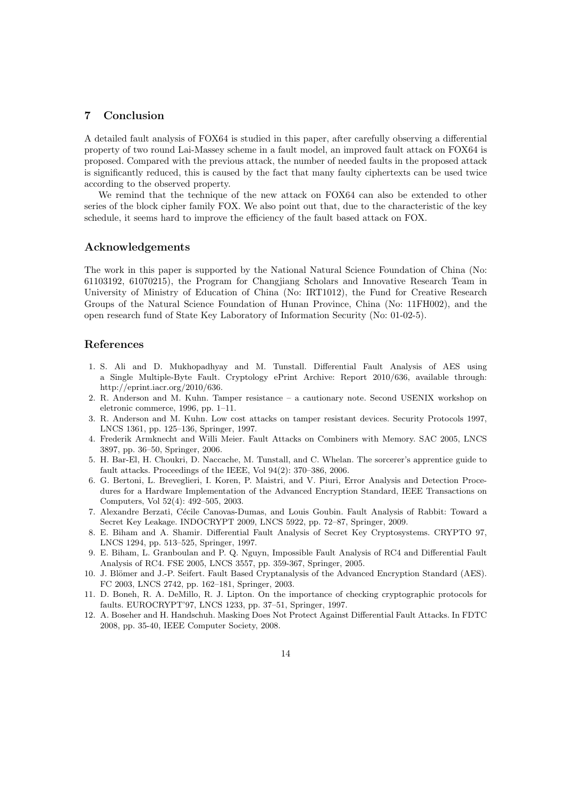## **7 Conclusion**

A detailed fault analysis of FOX64 is studied in this paper, after carefully observing a differential property of two round Lai-Massey scheme in a fault model, an improved fault attack on FOX64 is proposed. Compared with the previous attack, the number of needed faults in the proposed attack is significantly reduced, this is caused by the fact that many faulty ciphertexts can be used twice according to the observed property.

We remind that the technique of the new attack on FOX64 can also be extended to other series of the block cipher family FOX. We also point out that, due to the characteristic of the key schedule, it seems hard to improve the efficiency of the fault based attack on FOX.

## **Acknowledgements**

The work in this paper is supported by the National Natural Science Foundation of China (No: 61103192, 61070215), the Program for Changjiang Scholars and Innovative Research Team in University of Ministry of Education of China (No: IRT1012), the Fund for Creative Research Groups of the Natural Science Foundation of Hunan Province, China (No: 11FH002), and the open research fund of State Key Laboratory of Information Security (No: 01-02-5).

### **References**

- 1. S. Ali and D. Mukhopadhyay and M. Tunstall. Differential Fault Analysis of AES using a Single Multiple-Byte Fault. Cryptology ePrint Archive: Report 2010/636, available through: http://eprint.iacr.org/2010/636.
- 2. R. Anderson and M. Kuhn. Tamper resistance a cautionary note. Second USENIX workshop on eletronic commerce, 1996, pp. 1–11.
- 3. R. Anderson and M. Kuhn. Low cost attacks on tamper resistant devices. Security Protocols 1997, LNCS 1361, pp. 125–136, Springer, 1997.
- 4. Frederik Armknecht and Willi Meier. Fault Attacks on Combiners with Memory. SAC 2005, LNCS 3897, pp. 36–50, Springer, 2006.
- 5. H. Bar-El, H. Choukri, D. Naccache, M. Tunstall, and C. Whelan. The sorcerer's apprentice guide to fault attacks. Proceedings of the IEEE, Vol 94(2): 370–386, 2006.
- 6. G. Bertoni, L. Breveglieri, I. Koren, P. Maistri, and V. Piuri, Error Analysis and Detection Procedures for a Hardware Implementation of the Advanced Encryption Standard, IEEE Transactions on Computers, Vol 52(4): 492–505, 2003.
- 7. Alexandre Berzati, Cécile Canovas-Dumas, and Louis Goubin. Fault Analysis of Rabbit: Toward a Secret Key Leakage. INDOCRYPT 2009, LNCS 5922, pp. 72–87, Springer, 2009.
- 8. E. Biham and A. Shamir. Differential Fault Analysis of Secret Key Cryptosystems. CRYPTO 97, LNCS 1294, pp. 513–525, Springer, 1997.
- 9. E. Biham, L. Granboulan and P. Q. Nguyn, Impossible Fault Analysis of RC4 and Differential Fault Analysis of RC4. FSE 2005, LNCS 3557, pp. 359-367, Springer, 2005.
- 10. J. Blömer and J.-P. Seifert. Fault Based Cryptanalysis of the Advanced Encryption Standard (AES). FC 2003, LNCS 2742, pp. 162–181, Springer, 2003.
- 11. D. Boneh, R. A. DeMillo, R. J. Lipton. On the importance of checking cryptographic protocols for faults. EUROCRYPT'97, LNCS 1233, pp. 37–51, Springer, 1997.
- 12. A. Boseher and H. Handschuh. Masking Does Not Protect Against Differential Fault Attacks. In FDTC 2008, pp. 35-40, IEEE Computer Society, 2008.